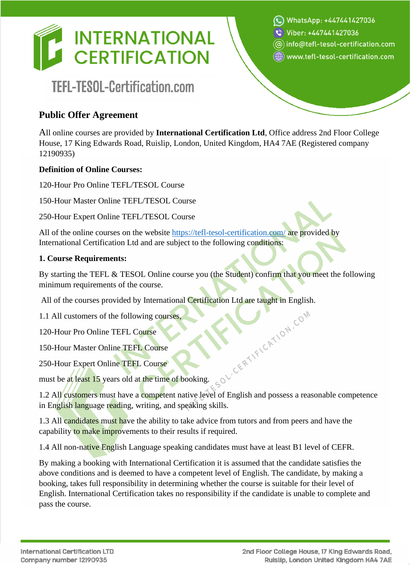

# TEFL-TESOL-Certification.com

(e) www.tefl-tesol-certification.com

WhatsApp: +447441427036

 $\circledR$  info@tefl-tesol-certification.com

Viber: +447441427036

## **Public Offer Agreement**

All online courses are provided by **International Certification Ltd**, Office address 2nd Floor College House, 17 King Edwards Road, Ruislip, London, United Kingdom, HA4 7AE (Registered company 12190935)

#### **Definition of Online Courses:**

120-Hour Pro Online TEFL/TESOL Course

150-Hour Master Online TEFL/TESOL Course

250-Hour Expert Online TEFL/TESOL Course

All of the online courses on the website<https://tefl-tesol-certification.com/> are provided by International Certification Ltd and are subject to the following conditions:

#### **1. Course Requirements:**

By starting the TEFL & TESOL Online course you (the Student) confirm that you meet the following minimum requirements of the course.

All of the courses provided by International Certification Ltd are taught in English.

1.1 All customers of the following courses,

120-Hour Pro Online TEFL Course

150-Hour Master Online TEFL Course

250-Hour Expert Online TEFL Course

must be at least 15 years old at the time of booking.

1.2 All customers must have a competent native level of English and possess a reasonable competence in English language reading, writing, and speaking skills.

1.3 All candidates must have the ability to take advice from tutors and from peers and have the capability to make improvements to their results if required.

1.4 All non-native English Language speaking candidates must have at least B1 level of CEFR.

By making a booking with International Certification it is assumed that the candidate satisfies the above conditions and is deemed to have a competent level of English. The candidate, by making a booking, takes full responsibility in determining whether the course is suitable for their level of English. International Certification takes no responsibility if the candidate is unable to complete and pass the course.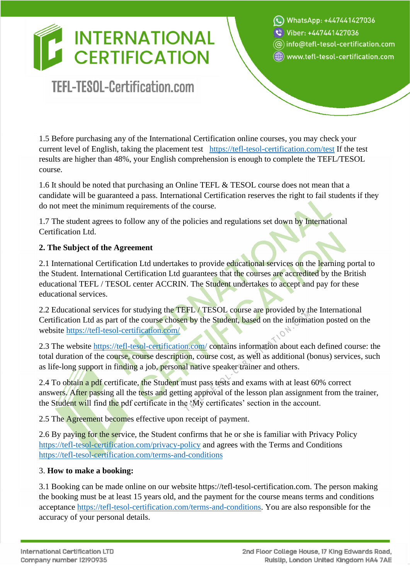# TEFL-TESOL-Certification.com

WhatsApp: +447441427036 Viber: +447441427036  $\circledR$  info $\circledR$ tefl-tesol-certification.com

()) www.tefl-tesol-certification.com

1.5 Before purchasing any of the International Certification online courses, you may check your current level of English, taking the placement test <https://tefl-tesol-certification.com/test> If the test results are higher than 48%, your English comprehension is enough to complete the TEFL/TESOL course.

1.6 It should be noted that purchasing an Online TEFL & TESOL course does not mean that a candidate will be guaranteed a pass. International Certification reserves the right to fail students if they do not meet the minimum requirements of the course.

1.7 The student agrees to follow any of the policies and regulations set down by International Certification Ltd.

## **2. The Subject of the Agreement**

2.1 International Certification Ltd undertakes to provide educational services on the learning portal to the Student. International Certification Ltd guarantees that the courses are accredited by the British educational TEFL / TESOL center ACCRIN. The Student undertakes to accept and pay for these educational services.

2.2 Educational services for studying the TEFL / TESOL course are provided by the International Certification Ltd as part of the course chosen by the Student, based on the information posted on the website<https://tefl-tesol-certification.com/>

2.3 The website<https://tefl-tesol-certification.com/> contains information about each defined course: the total duration of the course, course description, course cost, as well as additional (bonus) services, such as life-long support in finding a job, personal native speaker trainer and others.

2.4 To obtain a pdf certificate, the Student must pass tests and exams with at least 60% correct answers. After passing all the tests and getting approval of the lesson plan assignment from the trainer, the Student will find the pdf certificate in the 'My certificates' section in the account.

2.5 The **Agreement** becomes effective upon receipt of payment.

2.6 By paying for the service, the Student confirms that he or she is familiar with Privacy Policy <https://tefl-tesol-certification.com/privacy-policy> and agrees with the Terms and Conditions <https://tefl-tesol-certification.com/terms-and-conditions>

## 3. **How to make a booking:**

3.1 Booking can be made online on our website https://tefl-tesol-certification.com. The person making the booking must be at least 15 years old, and the payment for the course means terms and conditions acceptance [https://tefl-tesol-certification.com/terms-and-conditions.](https://tefl-tesol-certification.com/terms-and-conditions) You are also responsible for the accuracy of your personal details.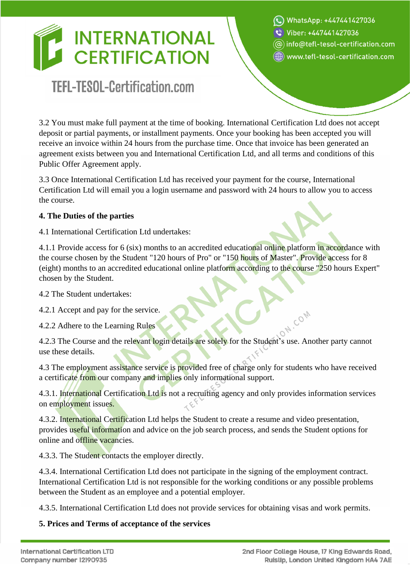# TEFL-TESOL-Certification.com

WhatsApp: +447441427036

Viber: +447441427036

 $\circledR$  info@tefl-tesol-certification.com

()) www.tefl-tesol-certification.com

3.2 You must make full payment at the time of booking. International Certification Ltd does not accept deposit or partial payments, or installment payments. Once your booking has been accepted you will receive an invoice within 24 hours from the purchase time. Once that invoice has been generated an agreement exists between you and International Certification Ltd, and all terms and conditions of this Public Offer Agreement apply.

3.3 Once International Certification Ltd has received your payment for the course, International Certification Ltd will email you a login username and password with 24 hours to allow you to access the course.

## **4. The Duties of the parties**

4.1 International Certification Ltd undertakes:

4.1.1 Provide access for 6 (six) months to an accredited educational online platform in accordance with the course chosen by the Student "120 hours of Pro" or "150 hours of Master". Provide access for 8 (eight) months to an accredited educational online platform according to the course "250 hours Expert" chosen by the Student.

4.2 The Student undertakes:

4.2.1 Accept and pay for the service.

4.2.2 Adhere to the Learning Rules

4.2.3 The Course and the relevant login details are solely for the Student's use. Another party cannot use these details.

4.3 The employment assistance service is provided free of charge only for students who have received a certificate from our company and implies only informational support.

4.3.1. International Certification Ltd is not a recruiting agency and only provides information services on employment issues.

4.3.2. International Certification Ltd helps the Student to create a resume and video presentation, provides useful information and advice on the job search process, and sends the Student options for online and offline vacancies.

4.3.3. The Student contacts the employer directly.

4.3.4. International Certification Ltd does not participate in the signing of the employment contract. International Certification Ltd is not responsible for the working conditions or any possible problems between the Student as an employee and a potential employer.

4.3.5. International Certification Ltd does not provide services for obtaining visas and work permits.

## **5. Prices and Terms of acceptance of the services**

COM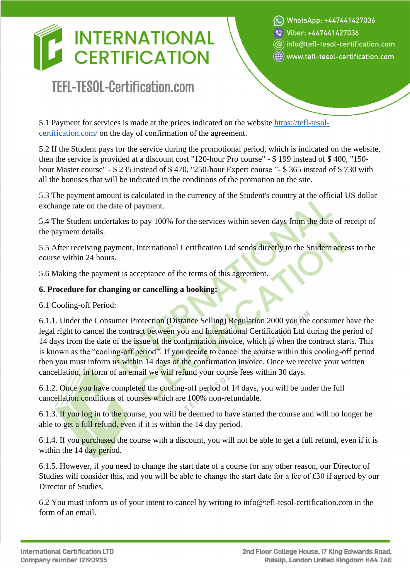# TEFL-TESOL-Certification.com

WhatsApp: +447441427036

t Viber: +447441427036

 $\circledR$  info $\circledR$ tefl-tesol-certification.com

(e) www.tefl-tesol-certification.com

5.1 Payment for services is made at the prices indicated on the website [https://tefl-tesol](https://tefl-tesol-certification.com/)[certification.com/](https://tefl-tesol-certification.com/) on the day of confirmation of the agreement.

5.2 If the Student pays for the service during the promotional period, which is indicated on the website, then the service is provided at a discount cost "120-hour Pro course" - \$ 199 instead of \$ 400, "150 hour Master course" - \$ 235 instead of \$ 470, "250-hour Expert course "- \$ 365 instead of \$ 730 with all the bonuses that will be indicated in the conditions of the promotion on the site.

5.3 The payment amount is calculated in the currency of the Student's country at the official US dollar exchange rate on the date of payment.

5.4 The Student undertakes to pay 100% for the services within seven days from the date of receipt of the payment details.

5.5 After receiving payment, International Certification Ltd sends directly to the Student access to the course within 24 hours.

5.6 Making the payment is acceptance of the terms of this agreement.

## **6. Procedure for changing or cancelling a booking:**

6.1 Cooling-off Period:

6.1.1. Under the Consumer Protection (Distance Selling) Regulation 2000 you the consumer have the legal right to cancel the contract between you and International Certification Ltd during the period of 14 days from the date of the issue of the confirmation invoice, which is when the contract starts. This is known as the "cooling-off period". If you decide to cancel the course within this cooling-off period then you must inform us within 14 days of the confirmation invoice. Once we receive your written cancellation, in form of an email we will refund your course fees within 30 days.

6.1.2. Once you have completed the cooling-off period of 14 days, you will be under the full cancellation conditions of courses which are 100% non-refundable.

6.1.3. If you log in to the course, you will be deemed to have started the course and will no longer be able to get a full refund, even if it is within the 14 day period.

6.1.4. If you purchased the course with a discount, you will not be able to get a full refund, even if it is within the 14 day period.

6.1.5. However, if you need to change the start date of a course for any other reason, our Director of Studies will consider this, and you will be able to change the start date for a fee of £30 if agreed by our Director of Studies.

6.2 You must inform us of your intent to cancel by writing to info@tefl-tesol-certification.com in the form of an email.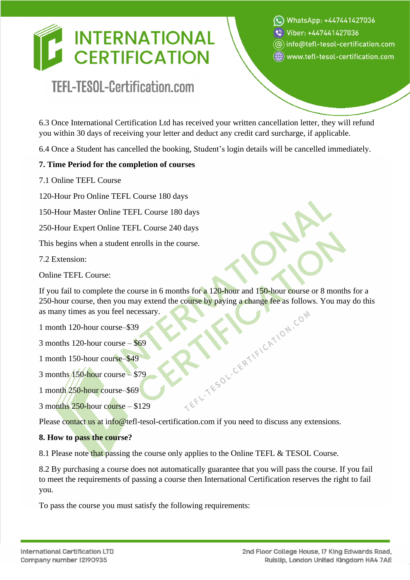# TEFL-TESOL-Certification.com

C WhatsApp: +447441427036

Viber: +447441427036

 $\circledR$  info $\circledR$ tefl-tesol-certification.com

()) www.tefl-tesol-certification.com

6.3 Once International Certification Ltd has received your written cancellation letter, they will refund you within 30 days of receiving your letter and deduct any credit card surcharge, if applicable.

6.4 Once a Student has cancelled the booking, Student's login details will be cancelled immediately.

## **7. Time Period for the completion of courses**

7.1 Online TEFL Course

120-Hour Pro Online TEFL Course 180 days

150-Hour Master Online TEFL Course 180 days

250-Hour Expert Online TEFL Course 240 days

This begins when a student enrolls in the course.

7.2 Extension:

Online TEFL Course:

If you fail to complete the course in 6 months for a 120-hour and 150-hour course or 8 months for a 250-hour course, then you may extend the course by paying a change fee as follows. You may do this as many times as you feel necessary.<br>
1 month 120-hour course -\$39<br>
3 months 120-hour course -\$49<br>
3 months 150-hour cours as many times as you feel necessary.

1 month 120-hour course–\$39

3 months 120-hour course – \$69

1 month 150-hour course–\$49

3 months 150-hour course – \$79

1 month 250-hour course–\$69

3 months 250-hour course – \$129

Please contact us at info@tefl-tesol-certification.com if you need to discuss any extensions.

#### **8. How to pass the course?**

8.1 Please note that passing the course only applies to the Online TEFL & TESOL Course.

8.2 By purchasing a course does not automatically guarantee that you will pass the course. If you fail to meet the requirements of passing a course then International Certification reserves the right to fail you.

To pass the course you must satisfy the following requirements: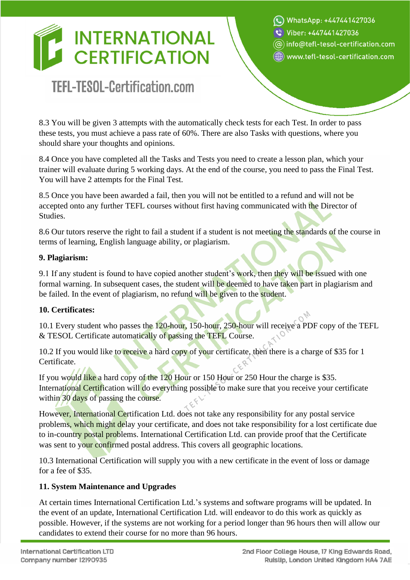# TEFL-TESOL-Certification.com

WhatsApp: +447441427036

थे Viber: +447441427036

 $\circledR$  info $\circledR$ tefl-tesol-certification.com

(e) www.tefl-tesol-certification.com

8.3 You will be given 3 attempts with the automatically check tests for each Test. In order to pass these tests, you must achieve a pass rate of 60%. There are also Tasks with questions, where you should share your thoughts and opinions.

8.4 Once you have completed all the Tasks and Tests you need to create a lesson plan, which your trainer will evaluate during 5 working days. At the end of the course, you need to pass the Final Test. You will have 2 attempts for the Final Test.

8.5 Once you have been awarded a fail, then you will not be entitled to a refund and will not be accepted onto any further TEFL courses without first having communicated with the Director of Studies.

8.6 Our tutors reserve the right to fail a student if a student is not meeting the standards of the course in terms of learning, English language ability, or plagiarism.

## **9. Plagiarism:**

9.1 If any student is found to have copied another student's work, then they will be issued with one formal warning. In subsequent cases, the student will be deemed to have taken part in plagiarism and be failed. In the event of plagiarism, no refund will be given to the student.

## **10. Certificates:**

10.1 Every student who passes the 120-hour, 150-hour, 250-hour will receive a PDF copy of the TEFL & TESOL Certificate automatically of passing the TEFL Course.

10.2 If you would like to receive a hard copy of your certificate, then there is a charge of \$35 for 1 Certificate.

If you would like a hard copy of the 120 Hour or 150 Hour or 250 Hour the charge is \$35. International Certification will do everything possible to make sure that you receive your certificate within 30 days of passing the course.

However, International Certification Ltd. does not take any responsibility for any postal service problems, which might delay your certificate, and does not take responsibility for a lost certificate due to in-country postal problems. International Certification Ltd. can provide proof that the Certificate was sent to your confirmed postal address. This covers all geographic locations.

10.3 International Certification will supply you with a new certificate in the event of loss or damage for a fee of \$35.

## **11. System Maintenance and Upgrades**

At certain times International Certification Ltd.'s systems and software programs will be updated. In the event of an update, International Certification Ltd. will endeavor to do this work as quickly as possible. However, if the systems are not working for a period longer than 96 hours then will allow our candidates to extend their course for no more than 96 hours.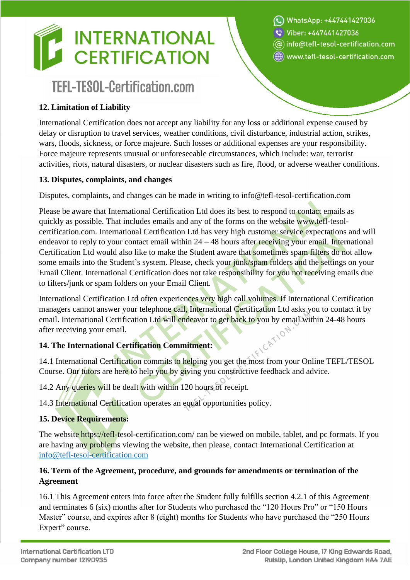# TEFL-TESOL-Certification.com

## **12. Limitation of Liability**

International Certification does not accept any liability for any loss or additional expense caused by delay or disruption to travel services, weather conditions, civil disturbance, industrial action, strikes, wars, floods, sickness, or force majeure. Such losses or additional expenses are your responsibility. Force majeure represents unusual or unforeseeable circumstances, which include: war, terrorist activities, riots, natural disasters, or nuclear disasters such as fire, flood, or adverse weather conditions.

#### **13. Disputes, complaints, and changes**

Disputes, complaints, and changes can be made in writing to info@tefl-tesol-certification.com

Please be aware that International Certification Ltd does its best to respond to contact emails as quickly as possible. That includes emails and any of the forms on the website www.tefl-tesolcertification.com. International Certification Ltd has very high customer service expectations and will endeavor to reply to your contact email within  $24 - 48$  hours after receiving your email. International Certification Ltd would also like to make the Student aware that sometimes spam filters do not allow some emails into the Student's system. Please, check your junk/spam folders and the settings on your Email Client. International Certification does not take responsibility for you not receiving emails due to filters/junk or spam folders on your Email Client.

International Certification Ltd often experiences very high call volumes. If International Certification managers cannot answer your telephone call, International Certification Ltd asks you to contact it by email. International Certification Ltd will endeavor to get back to you by email within 24-48 hours<br>after receiving your email.<br>**14. The International Certification** after receiving your email.

## **14. The International Certification Commitment:**

14.1 International Certification commits to helping you get the most from your Online TEFL/TESOL Course. Our tutors are here to help you by giving you constructive feedback and advice.

14.2 Any queries will be dealt with within 120 hours of receipt.

14.3 International Certification operates an equal opportunities policy.

## **15. Device Requirements:**

The website https://tefl-tesol-certification.com/ can be viewed on mobile, tablet, and pc formats. If you are having any problems viewing the website, then please, contact International Certification at [info@tefl-tesol-certification.com](mailto:info@tefl-tesol-certification.com)

## **16. Term of the Agreement, procedure, and grounds for amendments or termination of the Agreement**

16.1 This Agreement enters into force after the Student fully fulfills section 4.2.1 of this Agreement and terminates 6 (six) months after for Students who purchased the "120 Hours Pro" or "150 Hours Master" course, and expires after 8 (eight) months for Students who have purchased the "250 Hours Expert" course.

WhatsApp: +447441427036

- थे Viber: +447441427036
- $\circledR$  info $\circledR$ tefl-tesol-certification.com
- (e) www.tefl-tesol-certification.com